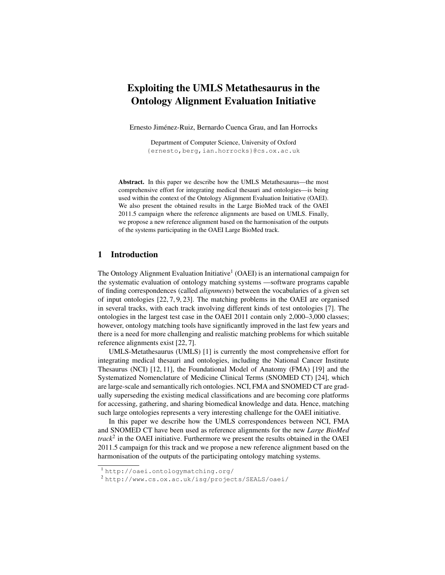# Exploiting the UMLS Metathesaurus in the Ontology Alignment Evaluation Initiative

Ernesto Jimenez-Ruiz, Bernardo Cuenca Grau, and Ian Horrocks ´

Department of Computer Science, University of Oxford {ernesto,berg,ian.horrocks}@cs.ox.ac.uk

Abstract. In this paper we describe how the UMLS Metathesaurus—the most comprehensive effort for integrating medical thesauri and ontologies—is being used within the context of the Ontology Alignment Evaluation Initiative (OAEI). We also present the obtained results in the Large BioMed track of the OAEI 2011.5 campaign where the reference alignments are based on UMLS. Finally, we propose a new reference alignment based on the harmonisation of the outputs of the systems participating in the OAEI Large BioMed track.

#### 1 Introduction

The Ontology Alignment Evaluation Initiative<sup>1</sup> (OAEI) is an international campaign for the systematic evaluation of ontology matching systems —software programs capable of finding correspondences (called *alignments*) between the vocabularies of a given set of input ontologies [22, 7, 9, 23]. The matching problems in the OAEI are organised in several tracks, with each track involving different kinds of test ontologies [7]. The ontologies in the largest test case in the OAEI 2011 contain only 2,000–3,000 classes; however, ontology matching tools have significantly improved in the last few years and there is a need for more challenging and realistic matching problems for which suitable reference alignments exist [22, 7].

UMLS-Metathesaurus (UMLS) [1] is currently the most comprehensive effort for integrating medical thesauri and ontologies, including the National Cancer Institute Thesaurus (NCI) [12, 11], the Foundational Model of Anatomy (FMA) [19] and the Systematized Nomenclature of Medicine Clinical Terms (SNOMED CT) [24], which are large-scale and semantically rich ontologies. NCI, FMA and SNOMED CT are gradually superseding the existing medical classifications and are becoming core platforms for accessing, gathering, and sharing biomedical knowledge and data. Hence, matching such large ontologies represents a very interesting challenge for the OAEI initiative.

In this paper we describe how the UMLS correspondences between NCI, FMA and SNOMED CT have been used as reference alignments for the new *Large BioMed track*<sup>2</sup> in the OAEI initiative. Furthermore we present the results obtained in the OAEI 2011.5 campaign for this track and we propose a new reference alignment based on the harmonisation of the outputs of the participating ontology matching systems.

<sup>1</sup> http://oaei.ontologymatching.org/

<sup>2</sup> http://www.cs.ox.ac.uk/isg/projects/SEALS/oaei/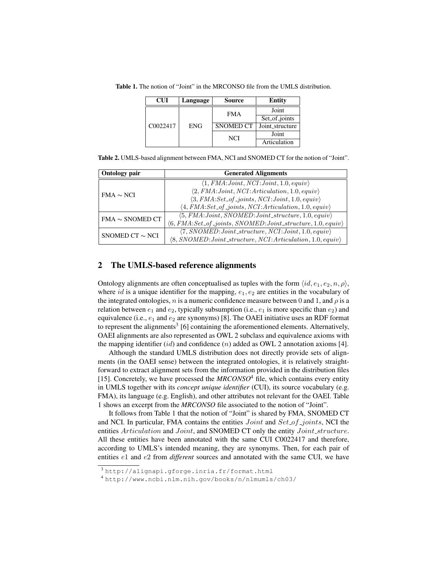Table 1. The notion of "Joint" in the MRCONSO file from the UMLS distribution.

| <b>CUI</b>            | Language   | Source           | Entity          |  |  |
|-----------------------|------------|------------------|-----------------|--|--|
| C <sub>0</sub> 022417 | <b>ENG</b> | <b>FMA</b>       | Joint           |  |  |
|                       |            |                  | Set_of_joints   |  |  |
|                       |            | <b>SNOMED CT</b> | Joint_structure |  |  |
|                       |            | <b>NCI</b>       | Joint           |  |  |
|                       |            |                  | Articulation    |  |  |

Table 2. UMLS-based alignment between FMA, NCI and SNOMED CT for the notion of "Joint".

| <b>Ontology pair</b> | <b>Generated Alignments</b>                                                                           |  |  |  |  |
|----------------------|-------------------------------------------------------------------------------------------------------|--|--|--|--|
|                      | $\langle 1, FMA:Joint, NCI:Joint, 1.0, equiv \rangle$                                                 |  |  |  |  |
| $FMA \sim NCI$       | $\langle 2, FMA:Joint, NCI:Articulation, 1.0, equiv \rangle$                                          |  |  |  |  |
|                      | $\langle 3, FMA: Set\_of\_joints, NCI:Joint, 1.0, equiv \rangle$                                      |  |  |  |  |
|                      | $\langle 4, FMA: Set\_of\_joints, NCI: Articulation, 1.0, equiv \rangle$                              |  |  |  |  |
| $FMA \sim$ SNOMED CT | $\langle 5, FMA: Joint, SNOMED: Joint_structure, 1.0, equiv \rangle$                                  |  |  |  |  |
|                      | $\langle 6, FMA: Set\_of\_joints, SNOMED: Joint_structure, 1.0, equiv \rangle$                        |  |  |  |  |
| SNOMED CT $\sim$ NCI | $\langle 7, \textit{SNOMED:Joint\_structure}, \textit{NCI:Joint}, 1.0, \textit{equiv} \rangle$        |  |  |  |  |
|                      | $\langle 8, \textit{SNOMED:Joint\_structure}, \textit{NCI:Articulation}, 1.0, \textit{equiv} \rangle$ |  |  |  |  |

## 2 The UMLS-based reference alignments

Ontology alignments are often conceptualised as tuples with the form  $\langle id, e_1, e_2, n, \rho \rangle$ , where id is a unique identifier for the mapping,  $e_1, e_2$  are entities in the vocabulary of the integrated ontologies, n is a numeric confidence measure between 0 and 1, and  $\rho$  is a relation between  $e_1$  and  $e_2$ , typically subsumption (i.e.,  $e_1$  is more specific than  $e_2$ ) and equivalence (i.e.,  $e_1$  and  $e_2$  are synonyms) [8]. The OAEI initiative uses an RDF format to represent the alignments<sup>3</sup> [6] containing the aforementioned elements. Alternatively, OAEI alignments are also represented as OWL 2 subclass and equivalence axioms with the mapping identifier  $(id)$  and confidence  $(n)$  added as OWL 2 annotation axioms [4].

Although the standard UMLS distribution does not directly provide sets of alignments (in the OAEI sense) between the integrated ontologies, it is relatively straightforward to extract alignment sets from the information provided in the distribution files [15]. Concretely, we have processed the  $MRCONSO<sup>4</sup>$  file, which contains every entity in UMLS together with its *concept unique identifier* (CUI), its source vocabulary (e.g. FMA), its language (e.g. English), and other attributes not relevant for the OAEI. Table 1 shows an excerpt from the *MRCONSO* file associated to the notion of "Joint".

It follows from Table 1 that the notion of "Joint" is shared by FMA, SNOMED CT and NCI. In particular, FMA contains the entities  $Joint$  and  $Set_of_joints$ , NCI the entities Articulation and Joint, and SNOMED CT only the entity Joint\_structure. All these entities have been annotated with the same CUI C0022417 and therefore, according to UMLS's intended meaning, they are synonyms. Then, for each pair of entities e1 and e2 from *different* sources and annotated with the same CUI, we have

<sup>3</sup> http://alignapi.gforge.inria.fr/format.html

<sup>4</sup> http://www.ncbi.nlm.nih.gov/books/n/nlmumls/ch03/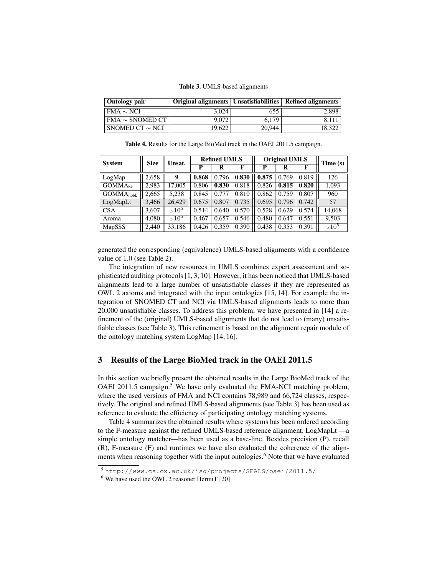|  | <b>Table 3.</b> UMLS-based alignments |  |
|--|---------------------------------------|--|
|--|---------------------------------------|--|

| Ontology pair        | Original alignments   Unsatisfiabilities    Refined alignments |        |        |
|----------------------|----------------------------------------------------------------|--------|--------|
| $FMA \sim NCI$       | 3.024                                                          | 655    | 2.898  |
| $FMA \sim$ SNOMED CT | 9.072                                                          | 6.179  | 8.111  |
| SNOMED CT $\sim$ NCI | 19.622                                                         | 20,944 | 18.322 |

Table 4. Results for the Large BioMed track in the OAEI 2011.5 campaign.

| <b>System</b>              | <b>Size</b> | Unsat.        | <b>Refined UMLS</b> |       |       | <b>Original UMLS</b> |       |       | Time(s)   |
|----------------------------|-------------|---------------|---------------------|-------|-------|----------------------|-------|-------|-----------|
|                            |             |               | P                   | R     | F     | P                    | R     | F     |           |
| LogMap                     | 2.658       | 9             | 0.868               | 0.796 | 0.830 | 0.875                | 0.769 | 0.819 | 126       |
| <b>GOMMA</b> <sub>bk</sub> | 2,983       | 17.005        | 0.806               | 0.830 | 0.818 | 0.826                | 0.815 | 0.820 | 1,093     |
| GOMMA <sub>nobk</sub>      | 2,665       | 5,238         | 0.845               | 0.777 | 0.810 | 0.862                | 0.759 | 0.807 | 960       |
| LogMapLt                   | 3,466       | 26.429        | 0.675               | 0.807 | 0.735 | 0.695                | 0.796 | 0.742 | 57        |
| <b>CSA</b>                 | 3.607       | $>10^{\circ}$ | 0.514               | 0.640 | 0.570 | 0.528                | 0.629 | 0.574 | 14,068    |
| Aroma                      | 4.080       | $>10^{5}$     | 0.467               | 0.657 | 0.546 | 0.480                | 0.647 | 0.551 | 9.503     |
| MapSSS                     | 2.440       | 33.186        | 0.426               | 0.359 | 0.390 | 0.438                | 0.353 | 0.391 | $>10^{5}$ |

generated the corresponding (equivalence) UMLS-based alignments with a confidence value of 1.0 (see Table 2).

The integration of new resources in UMLS combines expert assessment and sophisticated auditing protocols [1, 3, 10]. However, it has been noticed that UMLS-based alignments lead to a large number of unsatisfiable classes if they are represented as OWL 2 axioms and integrated with the input ontologies [15, 14]. For example the integration of SNOMED CT and NCI via UMLS-based alignments leads to more than 20,000 unsatisfiable classes. To address this problem, we have presented in [14] a refinement of the (original) UMLS-based alignments that do not lead to (many) unsatisfiable classes (see Table 3). This refinement is based on the alignment repair module of the ontology matching system LogMap [14, 16].

#### 3 Results of the Large BioMed track in the OAEI 2011.5

In this section we briefly present the obtained results in the Large BioMed track of the OAEI 2011.5 campaign.<sup>5</sup> We have only evaluated the FMA-NCI matching problem, where the used versions of FMA and NCI contains 78,989 and 66,724 classes, respectively. The original and refined UMLS-based alignments (see Table 3) has been used as reference to evaluate the efficiency of participating ontology matching systems.

Table 4 summarizes the obtained results where systems has been ordered according to the F-measure against the refined UMLS-based reference alignment. LogMapLt —a simple ontology matcher—has been used as a base-line. Besides precision (P), recall (R), F-measure (F) and runtimes we have also evaluated the coherence of the alignments when reasoning together with the input ontologies.<sup>6</sup> Note that we have evaluated

<sup>5</sup> http://www.cs.ox.ac.uk/isg/projects/SEALS/oaei/2011.5/

<sup>&</sup>lt;sup>6</sup> We have used the OWL 2 reasoner HermiT [20]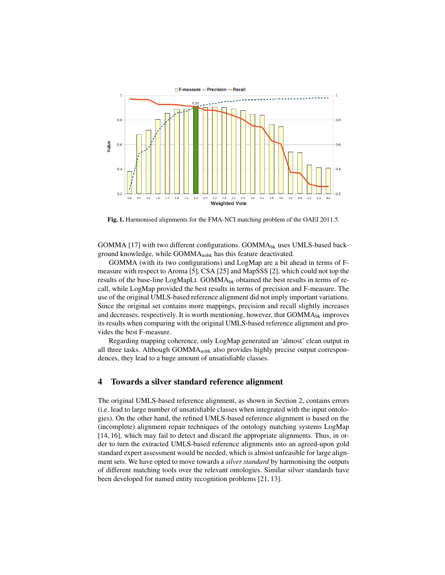

Fig. 1. Harmonised alignments for the FMA-NCI matching problem of the OAEI 2011.5.

GOMMA  $[17]$  with two different configurations. GOMMA<sub>bk</sub> uses UMLS-based background knowledge, while GOMMA<sub>nobk</sub> has this feature deactivated.

GOMMA (with its two configurations) and LogMap are a bit ahead in terms of Fmeasure with respect to Aroma [5], CSA [25] and MapSSS [2], which could not top the results of the base-line LogMapLt.  $GOMMA_{bk}$  obtained the best results in terms of recall, while LogMap provided the best results in terms of precision and F-measure. The use of the original UMLS-based reference alignment did not imply important variations. Since the original set contains more mappings, precision and recall slightly increases and decreases, respectively. It is worth mentioning, however, that GOMMA<sub>bk</sub> improves its results when comparing with the original UMLS-based reference alignment and provides the best F-measure.

Regarding mapping coherence, only LogMap generated an 'almost' clean output in all three tasks. Although GOMMA<sub>nobk</sub> also provides highly precise output correspondences, they lead to a huge amount of unsatisfiable classes.

#### 4 Towards a silver standard reference alignment

The original UMLS-based reference alignment, as shown in Section 2, contains errors (i.e. lead to large number of unsatisfiable classes when integrated with the input ontologies). On the other hand, the refined UMLS-based reference alignment is based on the (incomplete) alignment repair techniques of the ontology matching systems LogMap [14, 16], which may fail to detect and discard the appropriate alignments. Thus, in order to turn the extracted UMLS-based reference alignments into an agreed-upon gold standard expert assessment would be needed, which is almost unfeasible for large alignment sets. We have opted to move towards a *silver standard* by harmonising the outputs of different matching tools over the relevant ontologies. Similar silver standards have been developed for named entity recognition problems [21, 13].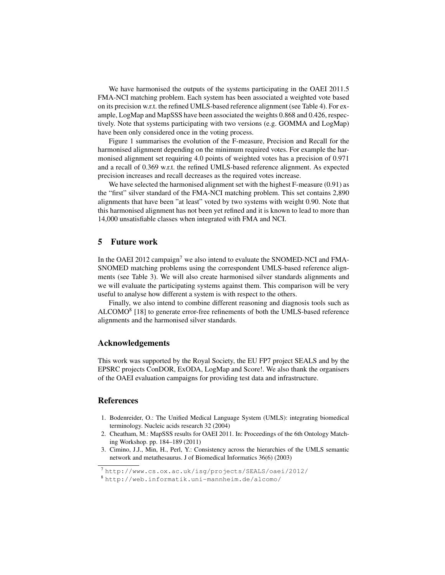We have harmonised the outputs of the systems participating in the OAEI 2011.5 FMA-NCI matching problem. Each system has been associated a weighted vote based on its precision w.r.t. the refined UMLS-based reference alignment (see Table 4). For example, LogMap and MapSSS have been associated the weights 0.868 and 0.426, respectively. Note that systems participating with two versions (e.g. GOMMA and LogMap) have been only considered once in the voting process.

Figure 1 summarises the evolution of the F-measure, Precision and Recall for the harmonised alignment depending on the minimum required votes. For example the harmonised alignment set requiring 4.0 points of weighted votes has a precision of 0.971 and a recall of 0.369 w.r.t. the refined UMLS-based reference alignment. As expected precision increases and recall decreases as the required votes increase.

We have selected the harmonised alignment set with the highest F-measure (0.91) as the "first" silver standard of the FMA-NCI matching problem. This set contains 2,890 alignments that have been "at least" voted by two systems with weight 0.90. Note that this harmonised alignment has not been yet refined and it is known to lead to more than 14,000 unsatisfiable classes when integrated with FMA and NCI.

#### 5 Future work

In the OAEI 2012 campaign<sup>7</sup> we also intend to evaluate the SNOMED-NCI and FMA-SNOMED matching problems using the correspondent UMLS-based reference alignments (see Table 3). We will also create harmonised silver standards alignments and we will evaluate the participating systems against them. This comparison will be very useful to analyse how different a system is with respect to the others.

Finally, we also intend to combine different reasoning and diagnosis tools such as ALCOMO<sup>8</sup> [18] to generate error-free refinements of both the UMLS-based reference alignments and the harmonised silver standards.

#### Acknowledgements

This work was supported by the Royal Society, the EU FP7 project SEALS and by the EPSRC projects ConDOR, ExODA, LogMap and Score!. We also thank the organisers of the OAEI evaluation campaigns for providing test data and infrastructure.

### **References**

- 1. Bodenreider, O.: The Unified Medical Language System (UMLS): integrating biomedical terminology. Nucleic acids research 32 (2004)
- 2. Cheatham, M.: MapSSS results for OAEI 2011. In: Proceedings of the 6th Ontology Matching Workshop. pp. 184–189 (2011)
- 3. Cimino, J.J., Min, H., Perl, Y.: Consistency across the hierarchies of the UMLS semantic network and metathesaurus. J of Biomedical Informatics 36(6) (2003)

<sup>7</sup> http://www.cs.ox.ac.uk/isg/projects/SEALS/oaei/2012/

<sup>8</sup> http://web.informatik.uni-mannheim.de/alcomo/